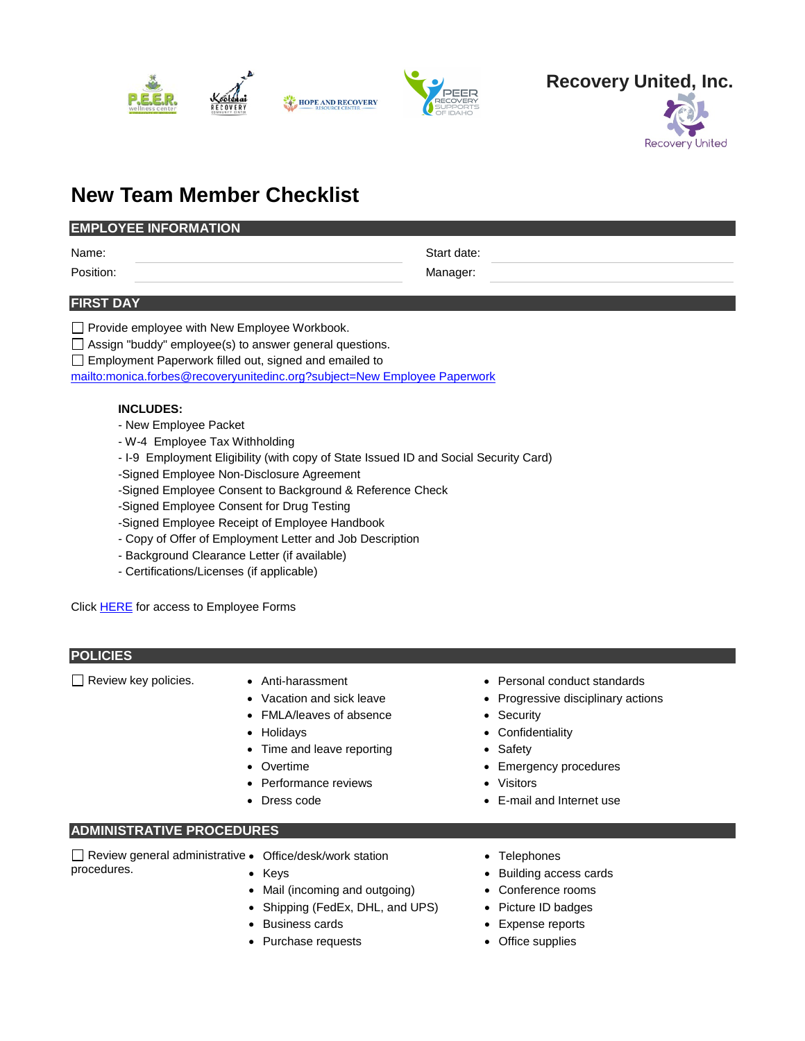



# **New Team Member Checklist**

## **EMPLOYEE INFORMATION**

Name: Start date:

Position: Manager:

### **FIRST DAY**

|  |  | □ Provide employee with New Employee Workbook. |
|--|--|------------------------------------------------|
|  |  |                                                |

 $\Box$  Assign "buddy" employee(s) to answer general questions.

Employment Paperwork filled out, signed and emailed to

[mailto:monica.forbes@recoveryunitedinc.org?subject=New Employee Paperwork](mailto:monica.forbes@recoveryunitedinc.org?subject=New%20Employee%20Paperwork)

### **INCLUDES:**

- New Employee Packet
- W-4 Employee Tax Withholding
- I-9 Employment Eligibility (with copy of State Issued ID and Social Security Card)
- -Signed Employee Non-Disclosure Agreement
- -Signed Employee Consent to Background & Reference Check
- -Signed Employee Consent for Drug Testing

-Signed Employee Receipt of Employee Handbook

- Copy of Offer of Employment Letter and Job Description
- Background Clearance Letter (if available)
- Certifications/Licenses (if applicable)

Click [HERE](https://www.recoveryunitedinc.org/faq-1) for access to Employee Forms

### **POLICIES**

Review key policies. • Anti-harassment

- Vacation and sick leave
- FMLA/leaves of absence
- Holidays
- Time and leave reporting
- **Overtime**
- Performance reviews
- Dress code
- Personal conduct standards
- Progressive disciplinary actions
- Security
- Confidentiality
- **Safety**
- Emergency procedures
- **Visitors**
- E-mail and Internet use

### **ADMINISTRATIVE PROCEDURES**

Review general administrative • Office/desk/work station procedures.

- Keys
- Mail (incoming and outgoing)
- Shipping (FedEx, DHL, and UPS)
- Business cards
- Purchase requests
- Telephones
- Building access cards
- Conference rooms
- Picture ID badges
- Expense reports
- Office supplies